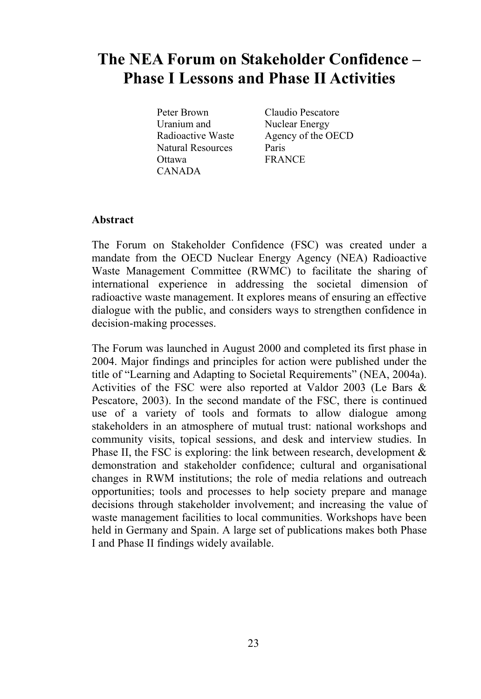# **The NEA Forum on Stakeholder Confidence – Phase I Lessons and Phase II Activities**

Peter Brown Uranium and Radioactive Waste Natural Resources **Ottawa** CANADA

Claudio Pescatore Nuclear Energy Agency of the OECD Paris FRANCE

# **Abstract**

The Forum on Stakeholder Confidence (FSC) was created under a mandate from the OECD Nuclear Energy Agency (NEA) Radioactive Waste Management Committee (RWMC) to facilitate the sharing of international experience in addressing the societal dimension of radioactive waste management. It explores means of ensuring an effective dialogue with the public, and considers ways to strengthen confidence in decision-making processes.

The Forum was launched in August 2000 and completed its first phase in 2004. Major findings and principles for action were published under the title of "Learning and Adapting to Societal Requirements" (NEA, 2004a). Activities of the FSC were also reported at Valdor 2003 (Le Bars  $\&$ Pescatore, 2003). In the second mandate of the FSC, there is continued use of a variety of tools and formats to allow dialogue among stakeholders in an atmosphere of mutual trust: national workshops and community visits, topical sessions, and desk and interview studies. In Phase II, the FSC is exploring: the link between research, development  $\&$ demonstration and stakeholder confidence; cultural and organisational changes in RWM institutions; the role of media relations and outreach opportunities; tools and processes to help society prepare and manage decisions through stakeholder involvement; and increasing the value of waste management facilities to local communities. Workshops have been held in Germany and Spain. A large set of publications makes both Phase I and Phase II findings widely available.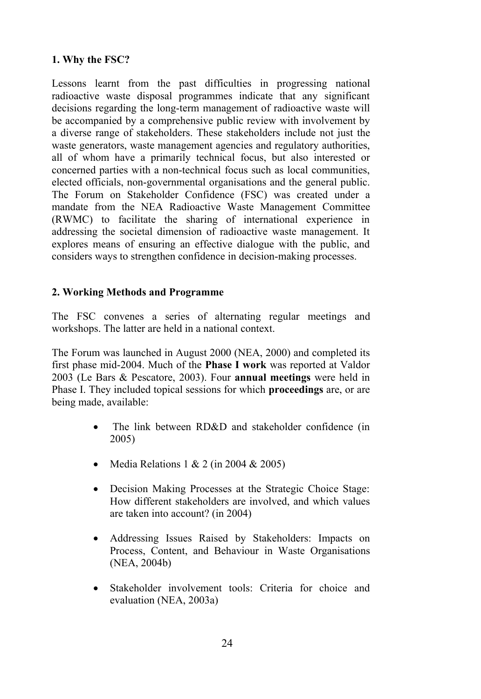# **1. Why the FSC?**

Lessons learnt from the past difficulties in progressing national radioactive waste disposal programmes indicate that any significant decisions regarding the long-term management of radioactive waste will be accompanied by a comprehensive public review with involvement by a diverse range of stakeholders. These stakeholders include not just the waste generators, waste management agencies and regulatory authorities, all of whom have a primarily technical focus, but also interested or concerned parties with a non-technical focus such as local communities, elected officials, non-governmental organisations and the general public. The Forum on Stakeholder Confidence (FSC) was created under a mandate from the NEA Radioactive Waste Management Committee (RWMC) to facilitate the sharing of international experience in addressing the societal dimension of radioactive waste management. It explores means of ensuring an effective dialogue with the public, and considers ways to strengthen confidence in decision-making processes.

# **2. Working Methods and Programme**

The FSC convenes a series of alternating regular meetings and workshops. The latter are held in a national context.

The Forum was launched in August 2000 (NEA, 2000) and completed its first phase mid-2004. Much of the **Phase I work** was reported at Valdor 00 (Le Bars & Pescatore, 00). Four **annual meetings** were held in Phase I. They included topical sessions for which **proceedings** are, or are being made, available:

- The link between RD&D and stakeholder confidence (in 2005)
- Media Relations  $1 & 2$  (in 2004  $& 2005$ )
- Decision Making Processes at the Strategic Choice Stage: How different stakeholders are involved, and which values are taken into account? (in 2004)
- Addressing Issues Raised by Stakeholders: Impacts on Process, Content, and Behaviour in Waste Organisations  $(NEA, 2004b)$
- Stakeholder involvement tools: Criteria for choice and evaluation (NEA,  $2003a$ )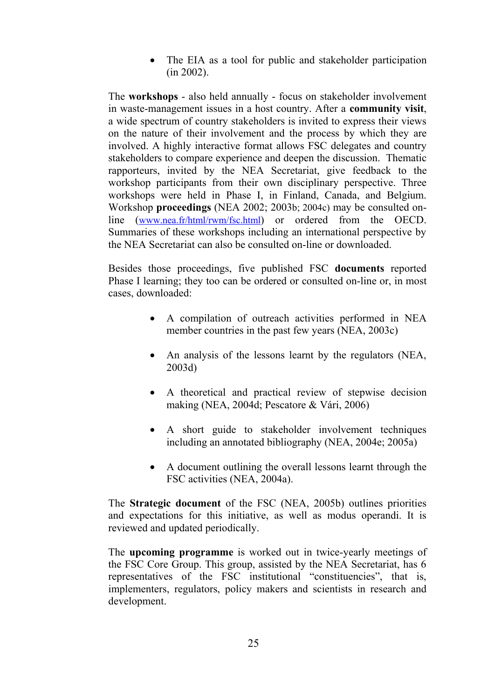• The EIA as a tool for public and stakeholder participation  $(in 2002).$ 

The **workshops** - also held annually - focus on stakeholder involvement in waste-management issues in a host country. After a **community visit**, a wide spectrum of country stakeholders is invited to express their views on the nature of their involvement and the process by which they are involved. A highly interactive format allows FSC delegates and country stakeholders to compare experience and deepen the discussion. Thematic rapporteurs, invited by the NEA Secretariat, give feedback to the workshop participants from their own disciplinary perspective. Three workshops were held in Phase I, in Finland, Canada, and Belgium. Workshop **proceedings** (NEA 2002; 2003b; 2004c) may be consulted online (www.nea.fr/html/rwm/fsc.html) or ordered from the OECD. Summaries of these workshops including an international perspective by the NEA Secretariat can also be consulted on-line or downloaded.

Besides those proceedings, five published FSC **documents** reported Phase I learning; they too can be ordered or consulted on-line or, in most cases, downloaded:

- A compilation of outreach activities performed in NEA member countries in the past few years (NEA, 2003c)
- An analysis of the lessons learnt by the regulators (NEA, 2003d)
- A theoretical and practical review of stepwise decision making (NEA,  $2004d$ ; Pescatore & Vári, 2006)
- A short guide to stakeholder involvement techniques including an annotated bibliography (NEA,  $2004e$ ;  $2005a$ )
- A document outlining the overall lessons learnt through the FSC activities (NEA, 2004a).

The **Strategic document** of the FSC (NEA, 2005b) outlines priorities and expectations for this initiative, as well as modus operandi. It is reviewed and updated periodically.

The **upcoming programme** is worked out in twice-yearly meetings of the FSC Core Group. This group, assisted by the NEA Secretariat, has representatives of the FSC institutional "constituencies", that is, implementers, regulators, policy makers and scientists in research and development.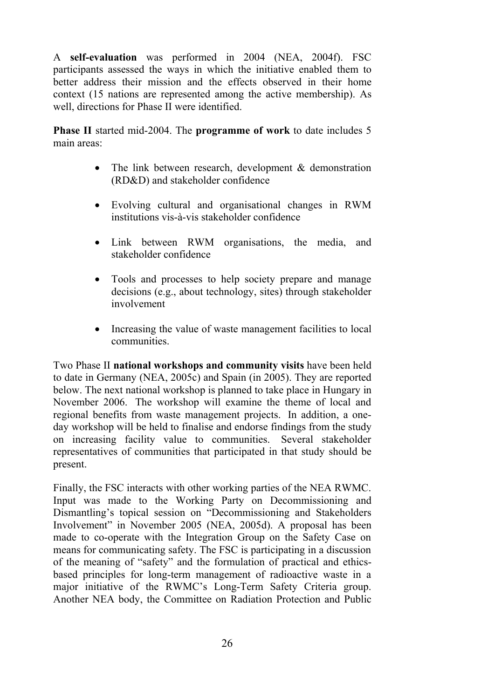A **self-evaluation** was performed in 2004 (NEA, 2004f). FSC participants assessed the ways in which the initiative enabled them to better address their mission and the effects observed in their home context (15 nations are represented among the active membership). As well, directions for Phase II were identified.

**Phase II** started mid-2004. The **programme of work** to date includes 5 main areas:

- The link between research, development  $\&$  demonstration (RD&D) and stakeholder confidence
- Evolving cultural and organisational changes in RWM institutions vis-à-vis stakeholder confidence
- Link between RWM organisations, the media, and stakeholder confidence
- Tools and processes to help society prepare and manage decisions (e.g., about technology, sites) through stakeholder involvement
- Increasing the value of waste management facilities to local communities.

Two Phase II **national workshops and community visits** have been held to date in Germany (NEA, 2005c) and Spain (in 2005). They are reported below. The next national workshop is planned to take place in Hungary in November 2006. The workshop will examine the theme of local and regional benefits from waste management projects. In addition, a oneday workshop will be held to finalise and endorse findings from the study on increasing facility value to communities. Several stakeholder representatives of communities that participated in that study should be present.

Finally, the FSC interacts with other working parties of the NEA RWMC. Input was made to the Working Party on Decommissioning and Dismantling's topical session on "Decommissioning and Stakeholders Involvement" in November 2005 (NEA, 2005d). A proposal has been made to co-operate with the Integration Group on the Safety Case on means for communicating safety. The FSC is participating in a discussion of the meaning of "safety" and the formulation of practical and ethicsbased principles for long-term management of radioactive waste in a major initiative of the RWMC's Long-Term Safety Criteria group. Another NEA body, the Committee on Radiation Protection and Public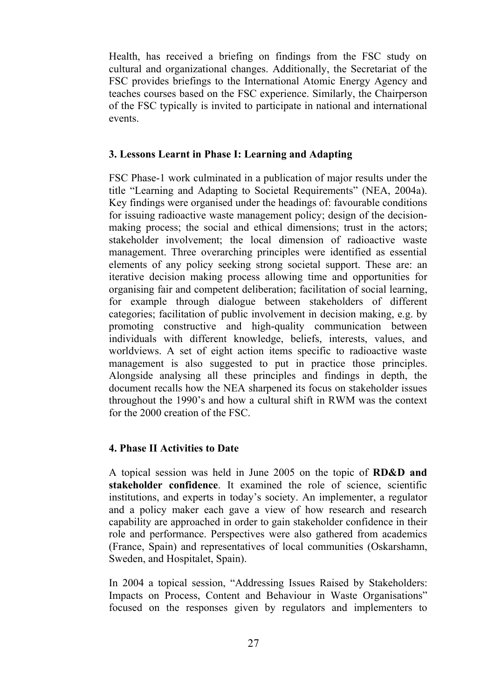Health, has received a briefing on findings from the FSC study on cultural and organizational changes. Additionally, the Secretariat of the FSC provides briefings to the International Atomic Energy Agency and teaches courses based on the FSC experience. Similarly, the Chairperson of the FSC typically is invited to participate in national and international events.

#### **3. Lessons Learnt in Phase I: Learning and Adapting**

FSC Phase-1 work culminated in a publication of major results under the title "Learning and Adapting to Societal Requirements" (NEA, 2004a). Key findings were organised under the headings of: favourable conditions for issuing radioactive waste management policy; design of the decisionmaking process; the social and ethical dimensions; trust in the actors; stakeholder involvement; the local dimension of radioactive waste management. Three overarching principles were identified as essential elements of any policy seeking strong societal support. These are: an iterative decision making process allowing time and opportunities for organising fair and competent deliberation; facilitation of social learning, for example through dialogue between stakeholders of different categories; facilitation of public involvement in decision making, e.g. by promoting constructive and high-quality communication between individuals with different knowledge, beliefs, interests, values, and worldviews. A set of eight action items specific to radioactive waste management is also suggested to put in practice those principles. Alongside analysing all these principles and findings in depth, the document recalls how the NEA sharpened its focus on stakeholder issues throughout the 1990's and how a cultural shift in RWM was the context for the  $2000$  creation of the  $FSC$ .

## **4. Phase II Activities to Date**

A topical session was held in June 2005 on the topic of **RD&D** and **stakeholder confidence**. It examined the role of science, scientific institutions, and experts in today's society. An implementer, a regulator and a policy maker each gave a view of how research and research capability are approached in order to gain stakeholder confidence in their role and performance. Perspectives were also gathered from academics (France, Spain) and representatives of local communities (Oskarshamn, Sweden, and Hospitalet, Spain).

In 2004 a topical session, "Addressing Issues Raised by Stakeholders: Impacts on Process, Content and Behaviour in Waste Organisations" focused on the responses given by regulators and implementers to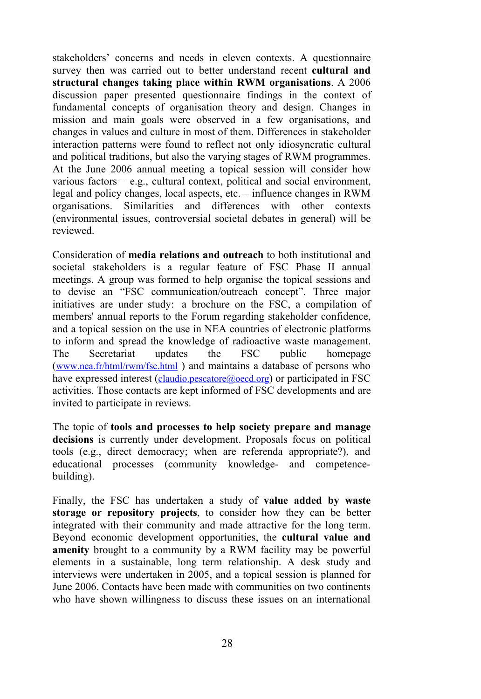stakeholders' concerns and needs in eleven contexts. A questionnaire survey then was carried out to better understand recent **cultural and**  structural changes taking place within RWM organisations. A 2006 discussion paper presented questionnaire findings in the context of fundamental concepts of organisation theory and design. Changes in mission and main goals were observed in a few organisations, and changes in values and culture in most of them. Differences in stakeholder interaction patterns were found to reflect not only idiosyncratic cultural and political traditions, but also the varying stages of RWM programmes. At the June 2006 annual meeting a topical session will consider how various factors – e.g., cultural context, political and social environment, legal and policy changes, local aspects, etc. – influence changes in RWM organisations. Similarities and differences with other contexts (environmental issues, controversial societal debates in general) will be reviewed.

Consideration of **media relations and outreach** to both institutional and societal stakeholders is a regular feature of FSC Phase II annual meetings. A group was formed to help organise the topical sessions and to devise an "FSC communication/outreach concept". Three major initiatives are under study: a brochure on the FSC, a compilation of members' annual reports to the Forum regarding stakeholder confidence, and a topical session on the use in NEA countries of electronic platforms to inform and spread the knowledge of radioactive waste management. The Secretariat updates the FSC public homepage (www.nea.fr/html/rwm/fsc.html ) and maintains a database of persons who have expressed interest (claudio.pescatore@oecd.org) or participated in FSC activities. Those contacts are kept informed of FSC developments and are invited to participate in reviews.

The topic of **tools and processes to help society prepare and manage decisions** is currently under development. Proposals focus on political tools (e.g., direct democracy; when are referenda appropriate?), and educational processes (community knowledge- and competencebuilding).

Finally, the FSC has undertaken a study of **value added by waste storage or repository projects**, to consider how they can be better integrated with their community and made attractive for the long term. Beyond economic development opportunities, the **cultural value and amenity** brought to a community by a RWM facility may be powerful elements in a sustainable, long term relationship. A desk study and interviews were undertaken in 2005, and a topical session is planned for June 2006. Contacts have been made with communities on two continents who have shown willingness to discuss these issues on an international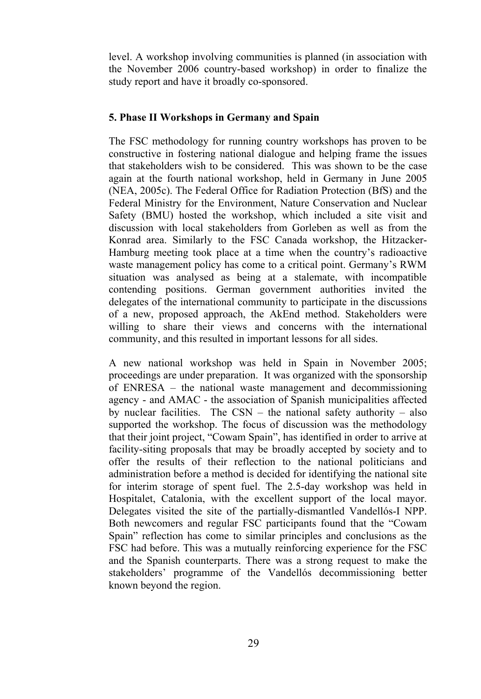level. A workshop involving communities is planned (in association with the November 2006 country-based workshop) in order to finalize the study report and have it broadly co-sponsored.

# **5. Phase II Workshops in Germany and Spain**

The FSC methodology for running country workshops has proven to be constructive in fostering national dialogue and helping frame the issues that stakeholders wish to be considered. This was shown to be the case again at the fourth national workshop, held in Germany in June 2005 (NEA, 2005c). The Federal Office for Radiation Protection (BfS) and the Federal Ministry for the Environment, Nature Conservation and Nuclear Safety (BMU) hosted the workshop, which included a site visit and discussion with local stakeholders from Gorleben as well as from the Konrad area. Similarly to the FSC Canada workshop, the Hitzacker-Hamburg meeting took place at a time when the country's radioactive waste management policy has come to a critical point. Germany's RWM situation was analysed as being at a stalemate, with incompatible contending positions. German government authorities invited the delegates of the international community to participate in the discussions of a new, proposed approach, the AkEnd method. Stakeholders were willing to share their views and concerns with the international community, and this resulted in important lessons for all sides.

A new national workshop was held in Spain in November 2005; proceedings are under preparation. It was organized with the sponsorship of ENRESA – the national waste management and decommissioning agency - and AMAC - the association of Spanish municipalities affected by nuclear facilities. The CSN – the national safety authority – also supported the workshop. The focus of discussion was the methodology that their joint project, "Cowam Spain", has identified in order to arrive at facility-siting proposals that may be broadly accepted by society and to offer the results of their reflection to the national politicians and administration before a method is decided for identifying the national site for interim storage of spent fuel. The 2.5-day workshop was held in Hospitalet, Catalonia, with the excellent support of the local mayor. Delegates visited the site of the partially-dismantled Vandellós-I NPP. Both newcomers and regular FSC participants found that the "Cowam Spain" reflection has come to similar principles and conclusions as the FSC had before. This was a mutually reinforcing experience for the FSC and the Spanish counterparts. There was a strong request to make the stakeholders' programme of the Vandellós decommissioning better known beyond the region.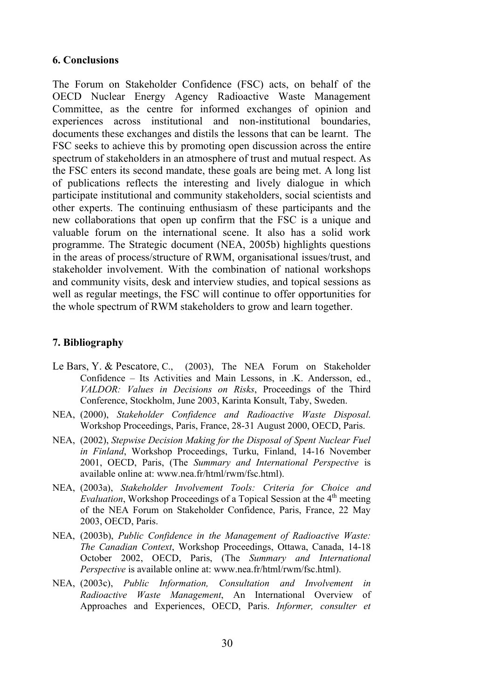#### **6. Conclusions**

The Forum on Stakeholder Confidence (FSC) acts, on behalf of the OECD Nuclear Energy Agency Radioactive Waste Management Committee, as the centre for informed exchanges of opinion and experiences across institutional and non-institutional boundaries, documents these exchanges and distils the lessons that can be learnt. The FSC seeks to achieve this by promoting open discussion across the entire spectrum of stakeholders in an atmosphere of trust and mutual respect. As the FSC enters its second mandate, these goals are being met. A long list of publications reflects the interesting and lively dialogue in which participate institutional and community stakeholders, social scientists and other experts. The continuing enthusiasm of these participants and the new collaborations that open up confirm that the FSC is a unique and valuable forum on the international scene. It also has a solid work programme. The Strategic document (NEA, 2005b) highlights questions in the areas of process/structure of RWM, organisational issues/trust, and stakeholder involvement. With the combination of national workshops and community visits, desk and interview studies, and topical sessions as well as regular meetings, the FSC will continue to offer opportunities for the whole spectrum of RWM stakeholders to grow and learn together.

## **7. Bibliography**

- Le Bars, Y. & Pescatore, C., (2003), The NEA Forum on Stakeholder Confidence – Its Activities and Main Lessons, in .K. Andersson, ed., *VALDOR: Values in Decisions on Risks*, Proceedings of the Third Conference, Stockholm, June 2003, Karinta Konsult, Taby, Sweden.
- NEA, (000), *Stakeholder Confidence and Radioactive Waste Disposal*. Workshop Proceedings, Paris, France, 28-31 August 2000, OECD, Paris.
- NEA, (2002), *Stepwise Decision Making for the Disposal of Spent Nuclear Fuel in Finland*, Workshop Proceedings, Turku, Finland, 14-16 November 2001, OECD, Paris, (The *Summary and International Perspective* is available online at: www.nea.fr/html/rwm/fsc.html).
- NEA, (2003a), *Stakeholder Involvement Tools: Criteria for Choice and Evaluation*, Workshop Proceedings of a Topical Session at the 4<sup>th</sup> meeting of the NEA Forum on Stakeholder Confidence, Paris, France, 22 May 2003, OECD, Paris.
- NEA, (2003b), *Public Confidence in the Management of Radioactive Waste: The Canadian Context*, Workshop Proceedings, Ottawa, Canada, 14-18 October 2002, OECD, Paris, (The *Summary and International Perspective* is available online at: www.nea.fr/html/rwm/fsc.html).
- NEA, (2003c), *Public Information*, *Consultation and Involvement in Radioactive Waste Management*, An International Overview of Approaches and Experiences, OECD, Paris. *Informer, consulter et*